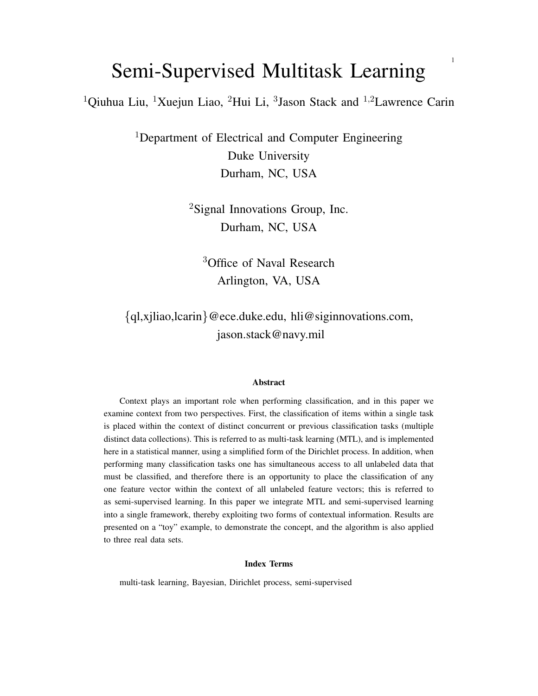# Semi-Supervised Multitask Learning

<sup>1</sup>Qiuhua Liu, <sup>1</sup>Xuejun Liao, <sup>2</sup>Hui Li, <sup>3</sup>Jason Stack and <sup>1,2</sup>Lawrence Carin

<sup>1</sup>Department of Electrical and Computer Engineering Duke University Durham, NC, USA

> <sup>2</sup>Signal Innovations Group, Inc. Durham, NC, USA

<sup>3</sup>Office of Naval Research Arlington, VA, USA

{ql,xjliao,lcarin}@ece.duke.edu, hli@siginnovations.com, jason.stack@navy.mil

#### Abstract

Context plays an important role when performing classification, and in this paper we examine context from two perspectives. First, the classification of items within a single task is placed within the context of distinct concurrent or previous classification tasks (multiple distinct data collections). This is referred to as multi-task learning (MTL), and is implemented here in a statistical manner, using a simplified form of the Dirichlet process. In addition, when performing many classification tasks one has simultaneous access to all unlabeled data that must be classified, and therefore there is an opportunity to place the classification of any one feature vector within the context of all unlabeled feature vectors; this is referred to as semi-supervised learning. In this paper we integrate MTL and semi-supervised learning into a single framework, thereby exploiting two forms of contextual information. Results are presented on a "toy" example, to demonstrate the concept, and the algorithm is also applied to three real data sets.

#### Index Terms

multi-task learning, Bayesian, Dirichlet process, semi-supervised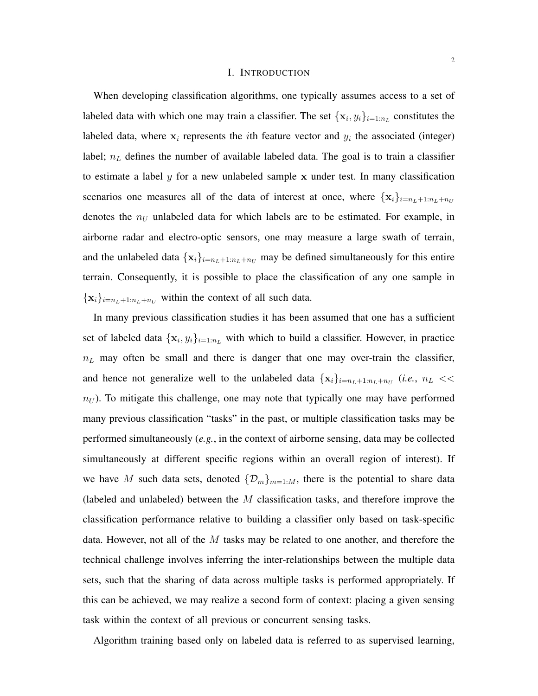### I. INTRODUCTION

When developing classification algorithms, one typically assumes access to a set of labeled data with which one may train a classifier. The set  $\{x_i, y_i\}_{i=1:n_L}$  constitutes the labeled data, where  $x_i$  represents the *i*th feature vector and  $y_i$  the associated (integer) label;  $n<sub>L</sub>$  defines the number of available labeled data. The goal is to train a classifier to estimate a label  $y$  for a new unlabeled sample  $x$  under test. In many classification scenarios one measures all of the data of interest at once, where  $\{x_i\}_{i=n_L+1:n_L+n_U}$ denotes the  $n_U$  unlabeled data for which labels are to be estimated. For example, in airborne radar and electro-optic sensors, one may measure a large swath of terrain, and the unlabeled data  $\{x_i\}_{i=n_L+1:n_L+n_U}$  may be defined simultaneously for this entire terrain. Consequently, it is possible to place the classification of any one sample in  ${x_i}_{i=n_L+1:n_L+n_U}$  within the context of all such data.

In many previous classification studies it has been assumed that one has a sufficient set of labeled data  $\{x_i, y_i\}_{i=1:n_L}$  with which to build a classifier. However, in practice  $n<sub>L</sub>$  may often be small and there is danger that one may over-train the classifier, and hence not generalize well to the unlabeled data  $\{x_i\}_{i=n_L+1:n_L+n_U}$  (*i.e.*,  $n_L <<$  $n_U$ ). To mitigate this challenge, one may note that typically one may have performed many previous classification "tasks" in the past, or multiple classification tasks may be performed simultaneously (*e.g.*, in the context of airborne sensing, data may be collected simultaneously at different specific regions within an overall region of interest). If we have M such data sets, denoted  $\{\mathcal{D}_m\}_{m=1:M}$ , there is the potential to share data (labeled and unlabeled) between the  $M$  classification tasks, and therefore improve the classification performance relative to building a classifier only based on task-specific data. However, not all of the  $M$  tasks may be related to one another, and therefore the technical challenge involves inferring the inter-relationships between the multiple data sets, such that the sharing of data across multiple tasks is performed appropriately. If this can be achieved, we may realize a second form of context: placing a given sensing task within the context of all previous or concurrent sensing tasks.

Algorithm training based only on labeled data is referred to as supervised learning,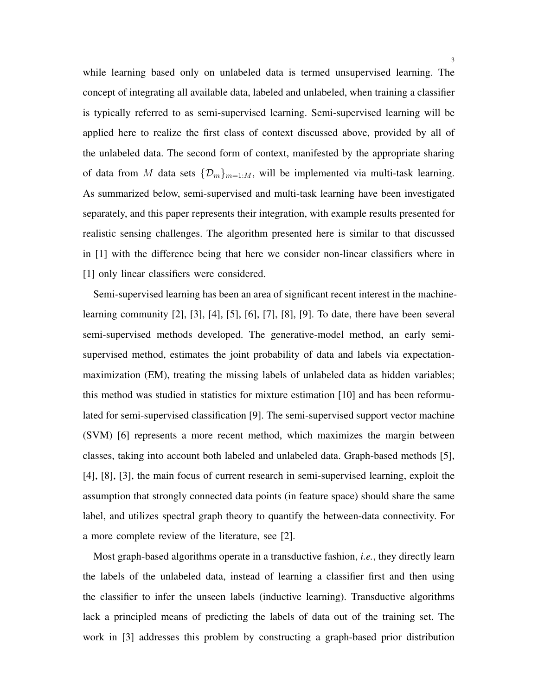while learning based only on unlabeled data is termed unsupervised learning. The concept of integrating all available data, labeled and unlabeled, when training a classifier is typically referred to as semi-supervised learning. Semi-supervised learning will be applied here to realize the first class of context discussed above, provided by all of the unlabeled data. The second form of context, manifested by the appropriate sharing of data from M data sets  $\{\mathcal{D}_m\}_{m=1:M}$ , will be implemented via multi-task learning. As summarized below, semi-supervised and multi-task learning have been investigated separately, and this paper represents their integration, with example results presented for realistic sensing challenges. The algorithm presented here is similar to that discussed in [1] with the difference being that here we consider non-linear classifiers where in [1] only linear classifiers were considered.

Semi-supervised learning has been an area of significant recent interest in the machinelearning community [2], [3], [4], [5], [6], [7], [8], [9]. To date, there have been several semi-supervised methods developed. The generative-model method, an early semisupervised method, estimates the joint probability of data and labels via expectationmaximization (EM), treating the missing labels of unlabeled data as hidden variables; this method was studied in statistics for mixture estimation [10] and has been reformulated for semi-supervised classification [9]. The semi-supervised support vector machine (SVM) [6] represents a more recent method, which maximizes the margin between classes, taking into account both labeled and unlabeled data. Graph-based methods [5], [4], [8], [3], the main focus of current research in semi-supervised learning, exploit the assumption that strongly connected data points (in feature space) should share the same label, and utilizes spectral graph theory to quantify the between-data connectivity. For a more complete review of the literature, see [2].

Most graph-based algorithms operate in a transductive fashion, *i.e.*, they directly learn the labels of the unlabeled data, instead of learning a classifier first and then using the classifier to infer the unseen labels (inductive learning). Transductive algorithms lack a principled means of predicting the labels of data out of the training set. The work in [3] addresses this problem by constructing a graph-based prior distribution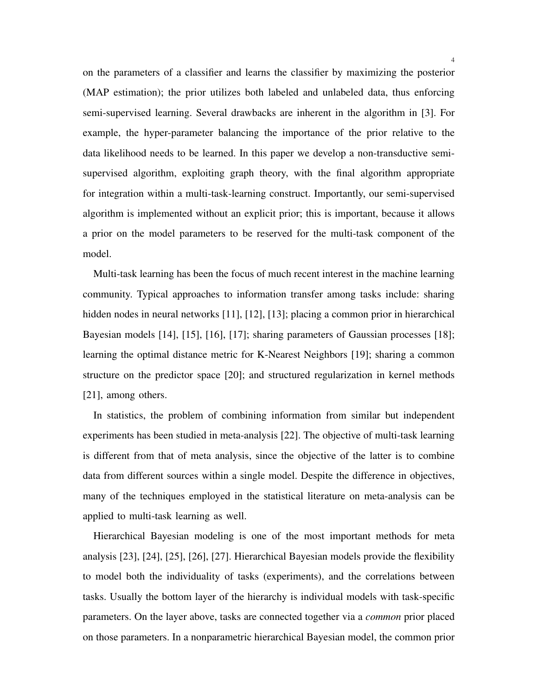on the parameters of a classifier and learns the classifier by maximizing the posterior (MAP estimation); the prior utilizes both labeled and unlabeled data, thus enforcing semi-supervised learning. Several drawbacks are inherent in the algorithm in [3]. For example, the hyper-parameter balancing the importance of the prior relative to the data likelihood needs to be learned. In this paper we develop a non-transductive semisupervised algorithm, exploiting graph theory, with the final algorithm appropriate for integration within a multi-task-learning construct. Importantly, our semi-supervised algorithm is implemented without an explicit prior; this is important, because it allows a prior on the model parameters to be reserved for the multi-task component of the model.

Multi-task learning has been the focus of much recent interest in the machine learning community. Typical approaches to information transfer among tasks include: sharing hidden nodes in neural networks [11], [12], [13]; placing a common prior in hierarchical Bayesian models [14], [15], [16], [17]; sharing parameters of Gaussian processes [18]; learning the optimal distance metric for K-Nearest Neighbors [19]; sharing a common structure on the predictor space [20]; and structured regularization in kernel methods [21], among others.

In statistics, the problem of combining information from similar but independent experiments has been studied in meta-analysis [22]. The objective of multi-task learning is different from that of meta analysis, since the objective of the latter is to combine data from different sources within a single model. Despite the difference in objectives, many of the techniques employed in the statistical literature on meta-analysis can be applied to multi-task learning as well.

Hierarchical Bayesian modeling is one of the most important methods for meta analysis [23], [24], [25], [26], [27]. Hierarchical Bayesian models provide the flexibility to model both the individuality of tasks (experiments), and the correlations between tasks. Usually the bottom layer of the hierarchy is individual models with task-specific parameters. On the layer above, tasks are connected together via a *common* prior placed on those parameters. In a nonparametric hierarchical Bayesian model, the common prior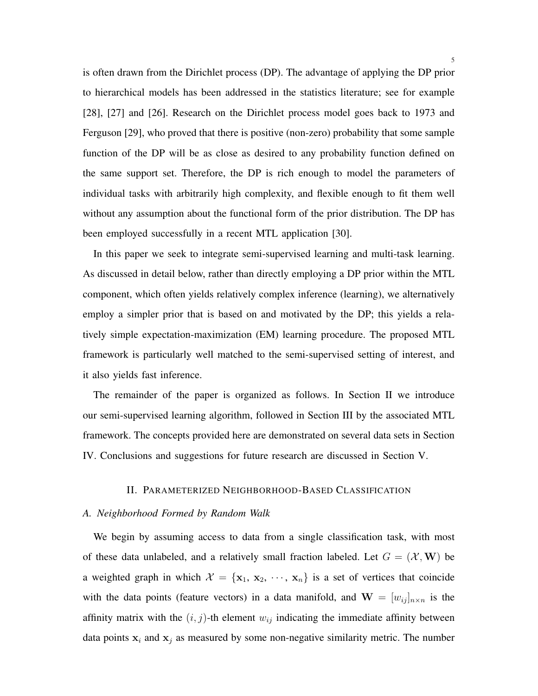is often drawn from the Dirichlet process (DP). The advantage of applying the DP prior to hierarchical models has been addressed in the statistics literature; see for example [28], [27] and [26]. Research on the Dirichlet process model goes back to 1973 and Ferguson [29], who proved that there is positive (non-zero) probability that some sample function of the DP will be as close as desired to any probability function defined on the same support set. Therefore, the DP is rich enough to model the parameters of individual tasks with arbitrarily high complexity, and flexible enough to fit them well without any assumption about the functional form of the prior distribution. The DP has been employed successfully in a recent MTL application [30].

In this paper we seek to integrate semi-supervised learning and multi-task learning. As discussed in detail below, rather than directly employing a DP prior within the MTL component, which often yields relatively complex inference (learning), we alternatively employ a simpler prior that is based on and motivated by the DP; this yields a relatively simple expectation-maximization (EM) learning procedure. The proposed MTL framework is particularly well matched to the semi-supervised setting of interest, and it also yields fast inference.

The remainder of the paper is organized as follows. In Section II we introduce our semi-supervised learning algorithm, followed in Section III by the associated MTL framework. The concepts provided here are demonstrated on several data sets in Section IV. Conclusions and suggestions for future research are discussed in Section V.

#### II. PARAMETERIZED NEIGHBORHOOD-BASED CLASSIFICATION

## *A. Neighborhood Formed by Random Walk*

We begin by assuming access to data from a single classification task, with most of these data unlabeled, and a relatively small fraction labeled. Let  $G = (\mathcal{X}, \mathbf{W})$  be a weighted graph in which  $\mathcal{X} = {\mathbf{x}_1, \mathbf{x}_2, \dots, \mathbf{x}_n}$  is a set of vertices that coincide with the data points (feature vectors) in a data manifold, and  $\mathbf{W} = [w_{ij}]_{n \times n}$  is the affinity matrix with the  $(i, j)$ -th element  $w_{ij}$  indicating the immediate affinity between data points  $x_i$  and  $x_j$  as measured by some non-negative similarity metric. The number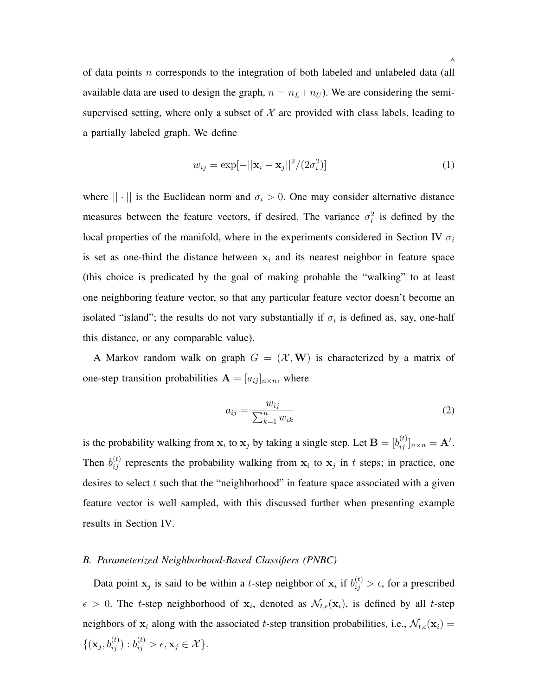of data points  $n$  corresponds to the integration of both labeled and unlabeled data (all available data are used to design the graph,  $n = n_L + n_U$ ). We are considering the semisupervised setting, where only a subset of  $\mathcal X$  are provided with class labels, leading to a partially labeled graph. We define

$$
w_{ij} = \exp[-||\mathbf{x}_i - \mathbf{x}_j||^2 / (2\sigma_i^2)]
$$
\n(1)

where  $|| \cdot ||$  is the Euclidean norm and  $\sigma_i > 0$ . One may consider alternative distance measures between the feature vectors, if desired. The variance  $\sigma_i^2$  is defined by the local properties of the manifold, where in the experiments considered in Section IV  $\sigma_i$ is set as one-third the distance between  $x_i$  and its nearest neighbor in feature space (this choice is predicated by the goal of making probable the "walking" to at least one neighboring feature vector, so that any particular feature vector doesn't become an isolated "island"; the results do not vary substantially if  $\sigma_i$  is defined as, say, one-half this distance, or any comparable value).

A Markov random walk on graph  $G = (\mathcal{X}, \mathbf{W})$  is characterized by a matrix of one-step transition probabilities  $\mathbf{A} = [a_{ij}]_{n \times n}$ , where

$$
a_{ij} = \frac{w_{ij}}{\sum_{k=1}^{n} w_{ik}}\tag{2}
$$

is the probability walking from  $x_i$  to  $x_j$  by taking a single step. Let  $B = [b_{ij}^{(t)}]_{n \times n} = A^t$ . Then  $b_{ij}^{(t)}$  represents the probability walking from  $x_i$  to  $x_j$  in t steps; in practice, one desires to select  $t$  such that the "neighborhood" in feature space associated with a given feature vector is well sampled, with this discussed further when presenting example results in Section IV.

## *B. Parameterized Neighborhood-Based Classifiers (PNBC)*

Data point  $x_j$  is said to be within a *t*-step neighbor of  $x_i$  if  $b_{ij}^{(t)} > \epsilon$ , for a prescribed  $\epsilon > 0$ . The *t*-step neighborhood of  $x_i$ , denoted as  $\mathcal{N}_{t,\epsilon}(x_i)$ , is defined by all *t*-step neighbors of  $x_i$  along with the associated t-step transition probabilities, i.e.,  $\mathcal{N}_{t,\epsilon}(x_i)$  =  $\{(\mathbf{x}_j, b_{ij}^{(t)}) : b_{ij}^{(t)} > \epsilon, \mathbf{x}_j \in \mathcal{X}\}.$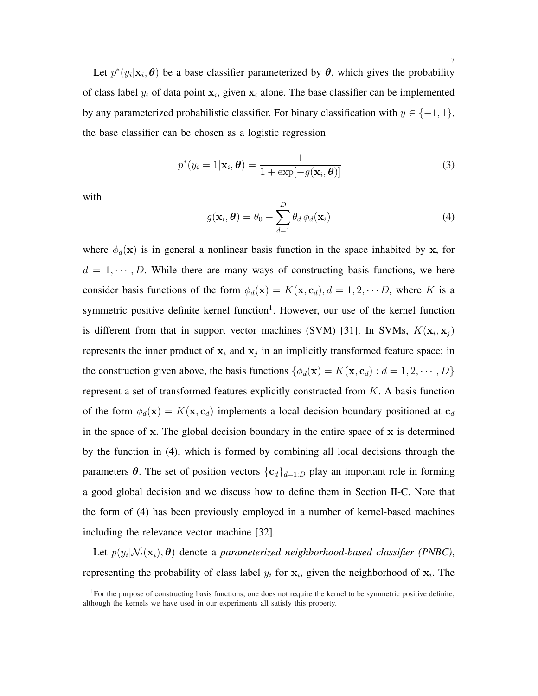Let  $p^*(y_i|\mathbf{x}_i,\theta)$  be a base classifier parameterized by  $\theta$ , which gives the probability of class label  $y_i$  of data point  $x_i$ , given  $x_i$  alone. The base classifier can be implemented by any parameterized probabilistic classifier. For binary classification with  $y \in \{-1, 1\}$ , the base classifier can be chosen as a logistic regression

$$
p^*(y_i = 1 | \mathbf{x}_i, \boldsymbol{\theta}) = \frac{1}{1 + \exp[-g(\mathbf{x}_i, \boldsymbol{\theta})]}
$$
(3)

with

$$
g(\mathbf{x}_i, \boldsymbol{\theta}) = \theta_0 + \sum_{d=1}^D \theta_d \phi_d(\mathbf{x}_i)
$$
\n(4)

where  $\phi_d(\mathbf{x})$  is in general a nonlinear basis function in the space inhabited by x, for  $d = 1, \dots, D$ . While there are many ways of constructing basis functions, we here consider basis functions of the form  $\phi_d(\mathbf{x}) = K(\mathbf{x}, \mathbf{c}_d), d = 1, 2, \cdots D$ , where K is a symmetric positive definite kernel function<sup>1</sup>. However, our use of the kernel function is different from that in support vector machines (SVM) [31]. In SVMs,  $K(\mathbf{x}_i, \mathbf{x}_j)$ represents the inner product of  $x_i$  and  $x_j$  in an implicitly transformed feature space; in the construction given above, the basis functions  $\{\phi_d(\mathbf{x}) = K(\mathbf{x}, \mathbf{c}_d) : d = 1, 2, \cdots, D\}$ represent a set of transformed features explicitly constructed from  $K$ . A basis function of the form  $\phi_d(\mathbf{x}) = K(\mathbf{x}, \mathbf{c}_d)$  implements a local decision boundary positioned at  $\mathbf{c}_d$ in the space of  $x$ . The global decision boundary in the entire space of  $x$  is determined by the function in (4), which is formed by combining all local decisions through the parameters  $\theta$ . The set of position vectors  $\{c_d\}_{d=1:D}$  play an important role in forming a good global decision and we discuss how to define them in Section II-C. Note that the form of (4) has been previously employed in a number of kernel-based machines including the relevance vector machine [32].

Let  $p(y_i | \mathcal{N}_t(\mathbf{x}_i), \boldsymbol{\theta})$  denote a *parameterized neighborhood-based classifier (PNBC)*, representing the probability of class label  $y_i$  for  $x_i$ , given the neighborhood of  $x_i$ . The

<sup>&</sup>lt;sup>1</sup>For the purpose of constructing basis functions, one does not require the kernel to be symmetric positive definite, although the kernels we have used in our experiments all satisfy this property.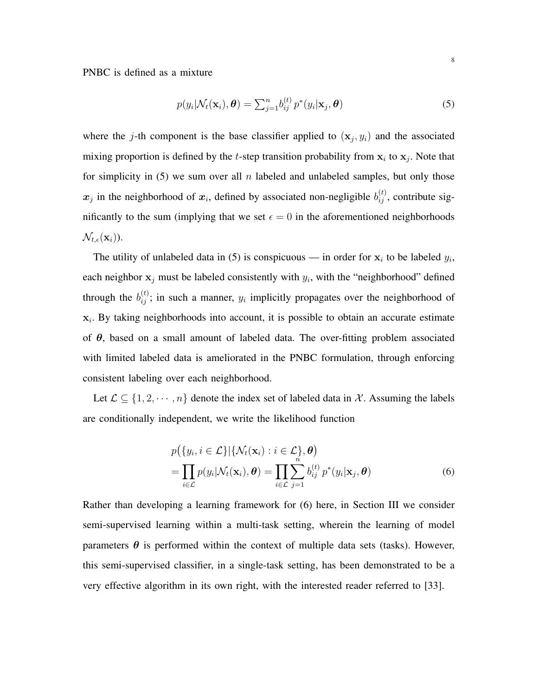PNBC is defined as a mixture

$$
p(y_i|\mathcal{N}_t(\mathbf{x}_i), \boldsymbol{\theta}) = \sum_{j=1}^n b_{ij}^{(t)} p^*(y_i|\mathbf{x}_j, \boldsymbol{\theta})
$$
\n(5)

where the j-th component is the base classifier applied to  $(\mathbf{x}_j, y_i)$  and the associated mixing proportion is defined by the *t*-step transition probability from  $x_i$  to  $x_j$ . Note that for simplicity in (5) we sum over all n labeled and unlabeled samples, but only those  $x_j$  in the neighborhood of  $x_i$ , defined by associated non-negligible  $b_{ij}^{(t)}$ , contribute significantly to the sum (implying that we set  $\epsilon = 0$  in the aforementioned neighborhoods  $\mathcal{N}_{t,\epsilon}(\mathbf{x}_i)$ ).

The utility of unlabeled data in (5) is conspicuous — in order for  $x_i$  to be labeled  $y_i$ , each neighbor  $x_j$  must be labeled consistently with  $y_i$ , with the "neighborhood" defined through the  $b_{ij}^{(t)}$ ; in such a manner,  $y_i$  implicitly propagates over the neighborhood of  $x_i$ . By taking neighborhoods into account, it is possible to obtain an accurate estimate of  $\theta$ , based on a small amount of labeled data. The over-fitting problem associated with limited labeled data is ameliorated in the PNBC formulation, through enforcing consistent labeling over each neighborhood.

Let  $\mathcal{L} \subseteq \{1, 2, \dots, n\}$  denote the index set of labeled data in X. Assuming the labels are conditionally independent, we write the likelihood function

$$
p(\lbrace y_i, i \in \mathcal{L} \rbrace | \lbrace \mathcal{N}_t(\mathbf{x}_i) : i \in \mathcal{L} \rbrace, \boldsymbol{\theta})
$$
  
= 
$$
\prod_{i \in \mathcal{L}} p(y_i | \mathcal{N}_t(\mathbf{x}_i), \boldsymbol{\theta}) = \prod_{i \in \mathcal{L}} \sum_{j=1}^{n} b_{ij}^{(t)} p^*(y_i | \mathbf{x}_j, \boldsymbol{\theta})
$$
 (6)

Rather than developing a learning framework for (6) here, in Section III we consider semi-supervised learning within a multi-task setting, wherein the learning of model parameters  $\theta$  is performed within the context of multiple data sets (tasks). However, this semi-supervised classifier, in a single-task setting, has been demonstrated to be a very effective algorithm in its own right, with the interested reader referred to [33].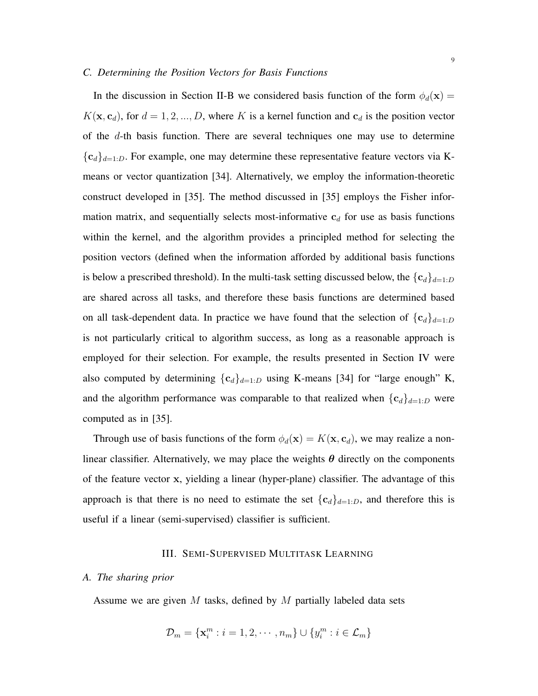In the discussion in Section II-B we considered basis function of the form  $\phi_d(\mathbf{x}) =$  $K(\mathbf{x}, \mathbf{c}_d)$ , for  $d = 1, 2, ..., D$ , where K is a kernel function and  $\mathbf{c}_d$  is the position vector of the  $d$ -th basis function. There are several techniques one may use to determine  ${c_d}_{d=1:D}$ . For example, one may determine these representative feature vectors via Kmeans or vector quantization [34]. Alternatively, we employ the information-theoretic construct developed in [35]. The method discussed in [35] employs the Fisher information matrix, and sequentially selects most-informative  $c_d$  for use as basis functions within the kernel, and the algorithm provides a principled method for selecting the position vectors (defined when the information afforded by additional basis functions is below a prescribed threshold). In the multi-task setting discussed below, the  $\{c_d\}_{d=1:D}$ are shared across all tasks, and therefore these basis functions are determined based on all task-dependent data. In practice we have found that the selection of  ${c_d}_{d=1:D}$ is not particularly critical to algorithm success, as long as a reasonable approach is employed for their selection. For example, the results presented in Section IV were also computed by determining  ${c_d}_{d=1:D}$  using K-means [34] for "large enough" K, and the algorithm performance was comparable to that realized when  ${c_d}_{d=1:D}$  were computed as in [35].

Through use of basis functions of the form  $\phi_d(\mathbf{x}) = K(\mathbf{x}, \mathbf{c}_d)$ , we may realize a nonlinear classifier. Alternatively, we may place the weights  $\theta$  directly on the components of the feature vector x, yielding a linear (hyper-plane) classifier. The advantage of this approach is that there is no need to estimate the set  $\{c_d\}_{d=1:D}$ , and therefore this is useful if a linear (semi-supervised) classifier is sufficient.

### III. SEMI-SUPERVISED MULTITASK LEARNING

#### *A. The sharing prior*

Assume we are given  $M$  tasks, defined by  $M$  partially labeled data sets

$$
\mathcal{D}_m = \{ \mathbf{x}_i^m : i = 1, 2, \cdots, n_m \} \cup \{ y_i^m : i \in \mathcal{L}_m \}
$$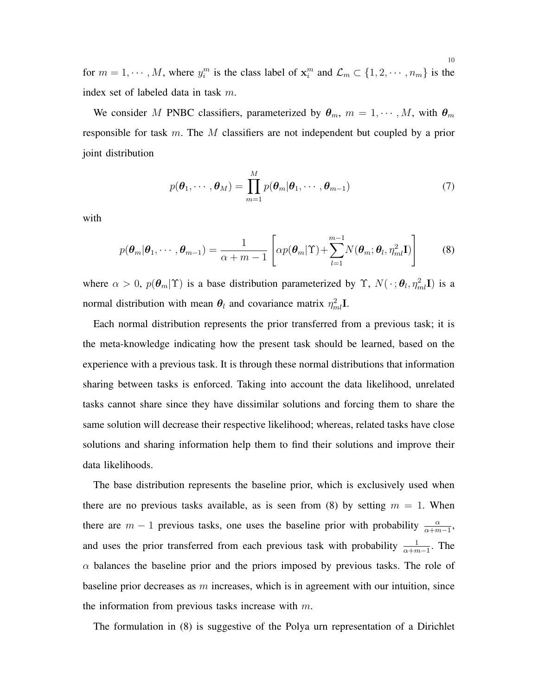for  $m = 1, \dots, M$ , where  $y_i^m$  is the class label of  $x_i^m$  and  $\mathcal{L}_m \subset \{1, 2, \dots, n_m\}$  is the index set of labeled data in task m.

We consider M PNBC classifiers, parameterized by  $\theta_m$ ,  $m = 1, \dots, M$ , with  $\theta_m$ responsible for task m. The M classifiers are not independent but coupled by a prior joint distribution

$$
p(\boldsymbol{\theta}_1, \cdots, \boldsymbol{\theta}_M) = \prod_{m=1}^M p(\boldsymbol{\theta}_m | \boldsymbol{\theta}_1, \cdots, \boldsymbol{\theta}_{m-1})
$$
(7)

with

$$
p(\boldsymbol{\theta}_m|\boldsymbol{\theta}_1,\cdots,\boldsymbol{\theta}_{m-1})=\frac{1}{\alpha+m-1}\left[\alpha p(\boldsymbol{\theta}_m|\boldsymbol{\Upsilon})+\sum_{l=1}^{m-1}N(\boldsymbol{\theta}_m;\boldsymbol{\theta}_l,\eta_{ml}^2\mathbf{I})\right]
$$
(8)

where  $\alpha > 0$ ,  $p(\theta_m | \Upsilon)$  is a base distribution parameterized by  $\Upsilon$ ,  $N(\cdot ; \theta_l, \eta_m^2 \mathbf{I})$  is a normal distribution with mean  $\theta_l$  and covariance matrix  $\eta_{ml}^2 \mathbf{I}$ .

Each normal distribution represents the prior transferred from a previous task; it is the meta-knowledge indicating how the present task should be learned, based on the experience with a previous task. It is through these normal distributions that information sharing between tasks is enforced. Taking into account the data likelihood, unrelated tasks cannot share since they have dissimilar solutions and forcing them to share the same solution will decrease their respective likelihood; whereas, related tasks have close solutions and sharing information help them to find their solutions and improve their data likelihoods.

The base distribution represents the baseline prior, which is exclusively used when there are no previous tasks available, as is seen from (8) by setting  $m = 1$ . When there are  $m-1$  previous tasks, one uses the baseline prior with probability  $\frac{\alpha}{\alpha+m-1}$ , and uses the prior transferred from each previous task with probability  $\frac{1}{\alpha+m-1}$ . The  $\alpha$  balances the baseline prior and the priors imposed by previous tasks. The role of baseline prior decreases as  $m$  increases, which is in agreement with our intuition, since the information from previous tasks increase with  $m$ .

The formulation in (8) is suggestive of the Polya urn representation of a Dirichlet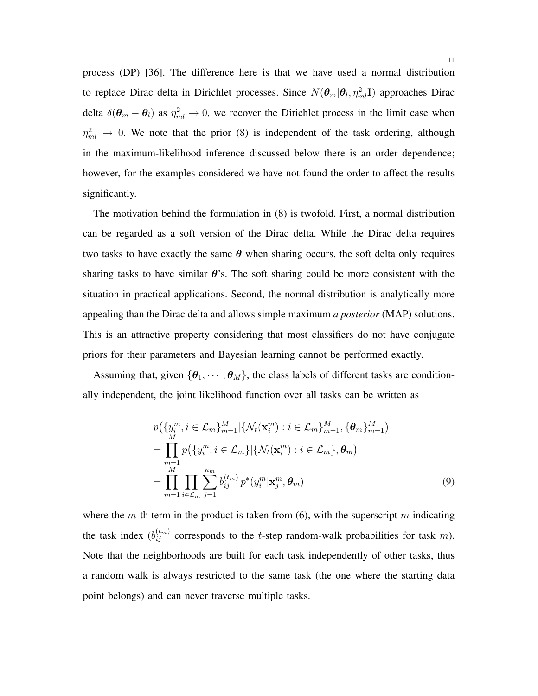process (DP) [36]. The difference here is that we have used a normal distribution to replace Dirac delta in Dirichlet processes. Since  $N(\theta_m|\theta_l, \eta^2_{ml} \mathbf{I})$  approaches Dirac delta  $\delta(\theta_m - \theta_l)$  as  $\eta_{ml}^2 \to 0$ , we recover the Dirichlet process in the limit case when  $\eta_{ml}^2 \rightarrow 0$ . We note that the prior (8) is independent of the task ordering, although in the maximum-likelihood inference discussed below there is an order dependence; however, for the examples considered we have not found the order to affect the results significantly.

The motivation behind the formulation in (8) is twofold. First, a normal distribution can be regarded as a soft version of the Dirac delta. While the Dirac delta requires two tasks to have exactly the same  $\theta$  when sharing occurs, the soft delta only requires sharing tasks to have similar  $\theta$ 's. The soft sharing could be more consistent with the situation in practical applications. Second, the normal distribution is analytically more appealing than the Dirac delta and allows simple maximum *a posterior* (MAP) solutions. This is an attractive property considering that most classifiers do not have conjugate priors for their parameters and Bayesian learning cannot be performed exactly.

Assuming that, given  $\{\theta_1, \dots, \theta_M\}$ , the class labels of different tasks are conditionally independent, the joint likelihood function over all tasks can be written as

$$
p(\lbrace y_i^m, i \in \mathcal{L}_m \rbrace_{m=1}^M | \lbrace \mathcal{N}_t(\mathbf{x}_i^m) : i \in \mathcal{L}_m \rbrace_{m=1}^M, \lbrace \boldsymbol{\theta}_m \rbrace_{m=1}^M)
$$
  
= 
$$
\prod_{m=1}^M p(\lbrace y_i^m, i \in \mathcal{L}_m \rbrace | \lbrace \mathcal{N}_t(\mathbf{x}_i^m) : i \in \mathcal{L}_m \rbrace, \boldsymbol{\theta}_m)
$$
  
= 
$$
\prod_{m=1}^M \prod_{i \in \mathcal{L}_m} \sum_{j=1}^{n_m} b_{ij}^{(t_m)} p^*(y_i^m | \mathbf{x}_j^m, \boldsymbol{\theta}_m)
$$
 (9)

where the m-th term in the product is taken from  $(6)$ , with the superscript m indicating the task index  $(b_{ij}^{(t_m)}$  corresponds to the t-step random-walk probabilities for task m). Note that the neighborhoods are built for each task independently of other tasks, thus a random walk is always restricted to the same task (the one where the starting data point belongs) and can never traverse multiple tasks.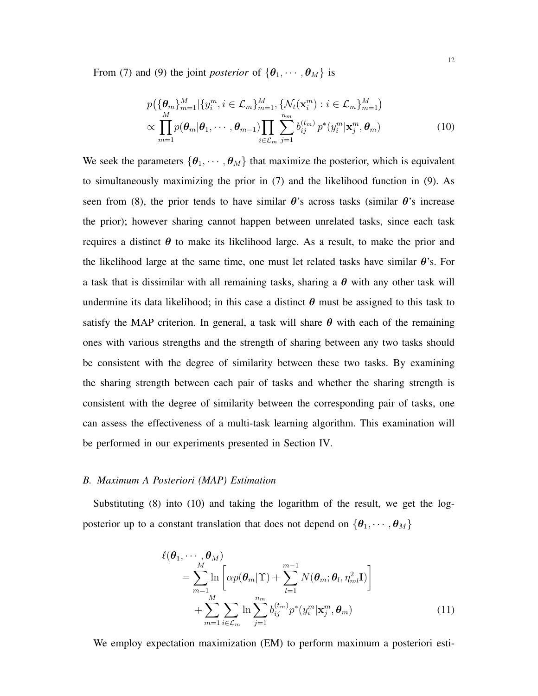From (7) and (9) the joint *posterior* of  $\{\boldsymbol{\theta}_1, \cdots, \boldsymbol{\theta}_M\}$  is

$$
p(\{\theta_m\}_{m=1}^M | \{y_i^m, i \in \mathcal{L}_m\}_{m=1}^M, \{\mathcal{N}_t(\mathbf{x}_i^m) : i \in \mathcal{L}_m\}_{m=1}^M) \propto \prod_{m=1}^M p(\theta_m | \theta_1, \cdots, \theta_{m-1}) \prod_{i \in \mathcal{L}_m} \sum_{j=1}^{n_m} b_{ij}^{(t_m)} p^*(y_i^m | \mathbf{x}_j^m, \theta_m)
$$
\n(10)

We seek the parameters  $\{\theta_1, \dots, \theta_M\}$  that maximize the posterior, which is equivalent to simultaneously maximizing the prior in (7) and the likelihood function in (9). As seen from (8), the prior tends to have similar  $\theta$ 's across tasks (similar  $\theta$ 's increase the prior); however sharing cannot happen between unrelated tasks, since each task requires a distinct  $\theta$  to make its likelihood large. As a result, to make the prior and the likelihood large at the same time, one must let related tasks have similar  $\theta$ 's. For a task that is dissimilar with all remaining tasks, sharing a  $\theta$  with any other task will undermine its data likelihood; in this case a distinct  $\theta$  must be assigned to this task to satisfy the MAP criterion. In general, a task will share  $\theta$  with each of the remaining ones with various strengths and the strength of sharing between any two tasks should be consistent with the degree of similarity between these two tasks. By examining the sharing strength between each pair of tasks and whether the sharing strength is consistent with the degree of similarity between the corresponding pair of tasks, one can assess the effectiveness of a multi-task learning algorithm. This examination will be performed in our experiments presented in Section IV.

## *B. Maximum A Posteriori (MAP) Estimation*

Substituting  $(8)$  into  $(10)$  and taking the logarithm of the result, we get the logposterior up to a constant translation that does not depend on  $\{\boldsymbol{\theta}_1, \cdots, \boldsymbol{\theta}_M\}$ 

$$
\ell(\boldsymbol{\theta}_1, \cdots, \boldsymbol{\theta}_M) = \sum_{m=1}^M \ln \left[ \alpha p(\boldsymbol{\theta}_m | \boldsymbol{\Upsilon}) + \sum_{l=1}^{m-1} N(\boldsymbol{\theta}_m; \boldsymbol{\theta}_l, \eta_{ml}^2 \mathbf{I}) \right] + \sum_{m=1}^M \sum_{i \in \mathcal{L}_m} \ln \sum_{j=1}^{n_m} b_{ij}^{(t_m)} p^*(y_i^m | \mathbf{x}_j^m, \boldsymbol{\theta}_m)
$$
(11)

We employ expectation maximization (EM) to perform maximum a posteriori esti-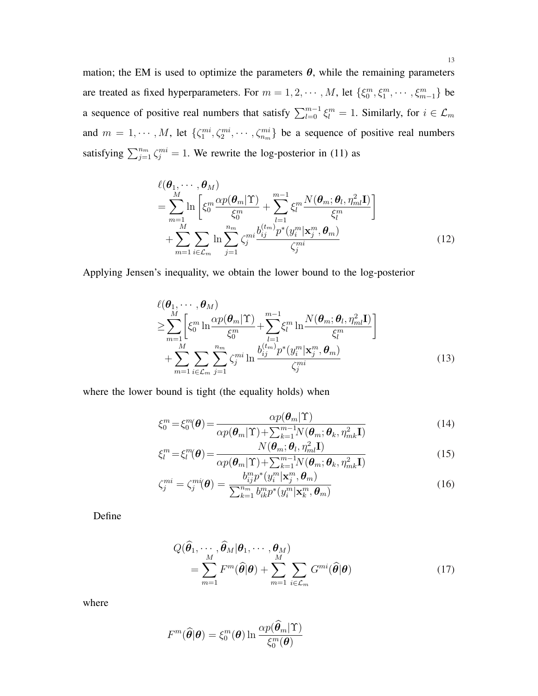mation; the EM is used to optimize the parameters  $\theta$ , while the remaining parameters are treated as fixed hyperparameters. For  $m = 1, 2, \cdots, M$ , let  $\{\xi_0^m, \xi_1^m, \cdots, \xi_{m-1}^m\}$  be a sequence of positive real numbers that satisfy  $\sum_{l=0}^{m-1} \xi_l^m = 1$ . Similarly, for  $i \in \mathcal{L}_m$ and  $m = 1, \dots, M$ , let  $\{\zeta_1^{mi}, \zeta_2^{mi}, \dots, \zeta_{n_m}^{mi}\}$  be a sequence of positive real numbers satisfying  $\sum_{j=1}^{n_m} \zeta_j^{mi} = 1$ . We rewrite the log-posterior in (11) as

$$
\ell(\boldsymbol{\theta}_{1}, \cdots, \boldsymbol{\theta}_{M})
$$
\n
$$
= \sum_{m=1}^{M} \ln \left[ \xi_{0}^{m} \frac{\alpha p(\boldsymbol{\theta}_{m} | \Upsilon)}{\xi_{0}^{m}} + \sum_{l=1}^{m-1} \xi_{l}^{m} \frac{N(\boldsymbol{\theta}_{m}; \boldsymbol{\theta}_{l}, \eta_{ml}^{2} \mathbf{I})}{\xi_{l}^{m}} \right]
$$
\n
$$
+ \sum_{m=1}^{M} \sum_{i \in \mathcal{L}_{m}} \ln \sum_{j=1}^{n_{m}} \zeta_{j}^{mi} \frac{b_{ij}^{(t_{m})} p^{*}(y_{i}^{m} | \mathbf{x}_{j}^{m}, \boldsymbol{\theta}_{m})}{\zeta_{j}^{mi}}
$$
\n(12)

Applying Jensen's inequality, we obtain the lower bound to the log-posterior

$$
\ell(\theta_1, \cdots, \theta_M) \n\geq \sum_{m=1}^M \left[ \xi_0^m \ln \frac{\alpha p(\theta_m | \Upsilon)}{\xi_0^m} + \sum_{l=1}^{m-1} \xi_l^m \ln \frac{N(\theta_m; \theta_l, \eta_{ml}^2 \mathbf{I})}{\xi_l^m} \right] \n+ \sum_{m=1}^M \sum_{i \in \mathcal{L}_m} \sum_{j=1}^{n_m} \zeta_j^{mi} \ln \frac{b_{ij}^{(t_m)} p^*(y_i^m | \mathbf{x}_j^m, \theta_m)}{\zeta_j^{mi}}
$$
\n(13)

where the lower bound is tight (the equality holds) when

$$
\xi_0^m = \xi_0^m(\boldsymbol{\theta}) = \frac{\alpha p(\boldsymbol{\theta}_m | \boldsymbol{\Upsilon})}{\alpha p(\boldsymbol{\theta}_m | \boldsymbol{\Upsilon}) + \sum_{k=1}^{m-1} N(\boldsymbol{\theta}_m; \boldsymbol{\theta}_k, \eta_{mk}^2 \mathbf{I})}
$$
(14)

$$
\xi_l^m = \xi_l^m(\boldsymbol{\theta}) = \frac{N(\boldsymbol{\theta}_m; \boldsymbol{\theta}_l, \eta_m^2 \mathbf{I})}{\alpha p(\boldsymbol{\theta}_m | \boldsymbol{\Upsilon}) + \sum_{k=1}^{m-1} N(\boldsymbol{\theta}_m; \boldsymbol{\theta}_k, \eta_m^2 \mathbf{I})}
$$
(15)

$$
\zeta_j^{mi} = \zeta_j^{mi}(\boldsymbol{\theta}) = \frac{b_{ij}^m p^*(y_i^m | \mathbf{x}_j^m, \boldsymbol{\theta}_m)}{\sum_{k=1}^{n_m} b_{ik}^m p^*(y_i^m | \mathbf{x}_k^m, \boldsymbol{\theta}_m)}
$$
(16)

Define

$$
Q(\widehat{\boldsymbol{\theta}}_1, \cdots, \widehat{\boldsymbol{\theta}}_M | \boldsymbol{\theta}_1, \cdots, \boldsymbol{\theta}_M)
$$
  
= 
$$
\sum_{m=1}^M F^m(\widehat{\boldsymbol{\theta}} | \boldsymbol{\theta}) + \sum_{m=1}^M \sum_{i \in \mathcal{L}_m} G^{mi}(\widehat{\boldsymbol{\theta}} | \boldsymbol{\theta})
$$
 (17)

where

$$
F^m(\widehat{\boldsymbol{\theta}}|\boldsymbol{\theta}) = \xi_0^m(\boldsymbol{\theta}) \ln \frac{\alpha p(\widehat{\boldsymbol{\theta}}_m|\boldsymbol{\Upsilon})}{\xi_0^m(\boldsymbol{\theta})}
$$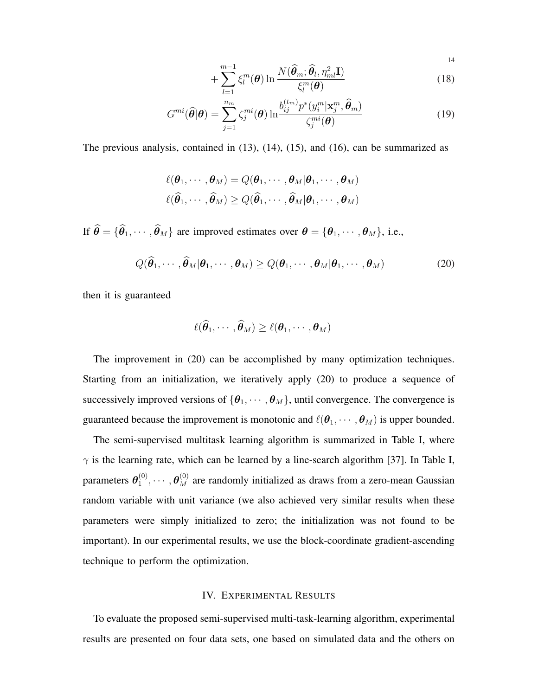$$
+\sum_{l=1}^{m-1}\xi_l^m(\boldsymbol{\theta})\ln\frac{N(\widehat{\boldsymbol{\theta}}_m;\widehat{\boldsymbol{\theta}}_l,\eta_{ml}^2\mathbf{I})}{\xi_l^m(\boldsymbol{\theta})}
$$
(18)

14

$$
G^{mi}(\widehat{\boldsymbol{\theta}}|\boldsymbol{\theta}) = \sum_{j=1}^{n_m} \zeta_j^{mi}(\boldsymbol{\theta}) \ln \frac{b_{ij}^{(t_m)} p^*(y_i^m | \mathbf{x}_j^m, \widehat{\boldsymbol{\theta}}_m)}{\zeta_j^{mi}(\boldsymbol{\theta})}
$$
(19)

The previous analysis, contained in (13), (14), (15), and (16), can be summarized as

$$
\ell(\boldsymbol{\theta}_1, \cdots, \boldsymbol{\theta}_M) = Q(\boldsymbol{\theta}_1, \cdots, \boldsymbol{\theta}_M | \boldsymbol{\theta}_1, \cdots, \boldsymbol{\theta}_M)
$$

$$
\ell(\widehat{\boldsymbol{\theta}}_1, \cdots, \widehat{\boldsymbol{\theta}}_M) \ge Q(\widehat{\boldsymbol{\theta}}_1, \cdots, \widehat{\boldsymbol{\theta}}_M | \boldsymbol{\theta}_1, \cdots, \boldsymbol{\theta}_M)
$$

If  $\hat{\theta} = {\hat{\theta}_1, \cdots, \hat{\theta}_M}$  are improved estimates over  $\theta = {\theta_1, \cdots, \theta_M}$ , i.e.,

$$
Q(\hat{\theta}_1, \cdots, \hat{\theta}_M | \theta_1, \cdots, \theta_M) \ge Q(\theta_1, \cdots, \theta_M | \theta_1, \cdots, \theta_M)
$$
 (20)

then it is guaranteed

$$
\ell(\widehat{\boldsymbol{\theta}}_1,\cdots,\widehat{\boldsymbol{\theta}}_M)\geq \ell(\boldsymbol{\theta}_1,\cdots,\boldsymbol{\theta}_M)
$$

The improvement in (20) can be accomplished by many optimization techniques. Starting from an initialization, we iteratively apply (20) to produce a sequence of successively improved versions of  $\{\theta_1, \dots, \theta_M\}$ , until convergence. The convergence is guaranteed because the improvement is monotonic and  $\ell(\theta_1, \dots, \theta_M)$  is upper bounded.

The semi-supervised multitask learning algorithm is summarized in Table I, where  $\gamma$  is the learning rate, which can be learned by a line-search algorithm [37]. In Table I, parameters  $\boldsymbol{\theta}_1^{(0)}$  $\mathbf{1}_{1}^{(0)}, \cdots, \mathbf{\theta}_{M}^{(0)}$  are randomly initialized as draws from a zero-mean Gaussian random variable with unit variance (we also achieved very similar results when these parameters were simply initialized to zero; the initialization was not found to be important). In our experimental results, we use the block-coordinate gradient-ascending technique to perform the optimization.

## IV. EXPERIMENTAL RESULTS

To evaluate the proposed semi-supervised multi-task-learning algorithm, experimental results are presented on four data sets, one based on simulated data and the others on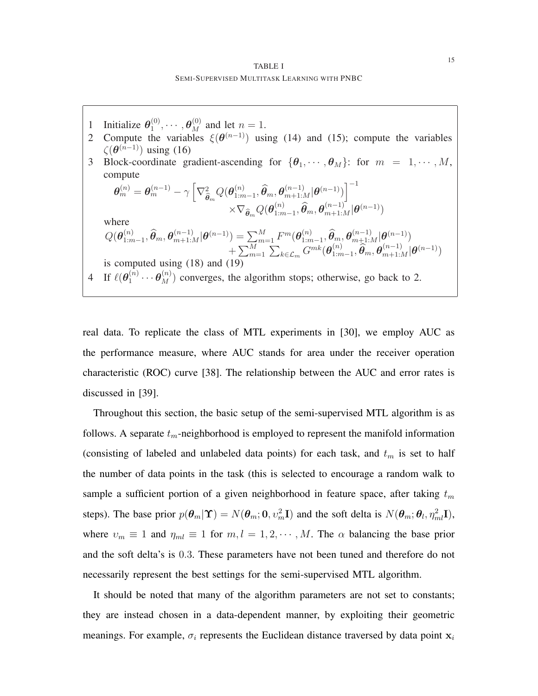TABLE I SEMI-SUPERVISED MULTITASK LEARNING WITH PNBC

1 Initialize  $\theta_1^{(0)}$  $\mathbf{1}_{1}^{(0)}, \cdots, \mathbf{\Theta}_{M}^{(0)}$  and let  $n = 1$ . 2 Compute the variables  $\xi(\theta^{(n-1)})$  using (14) and (15); compute the variables  $\zeta(\boldsymbol{\theta}^{(n-1)})$  using (16) 3 Block-coordinate gradient-ascending for  $\{\theta_1, \dots, \theta_M\}$ : for  $m = 1, \dots, M$ , compute  $\boldsymbol{\theta}_m^{(n)} = \boldsymbol{\theta}_m^{(n-1)} - \gamma$ h  $\nabla_{\widehat{\bm{\theta}}_m}^2 Q(\bm{\theta}_{1:n}^{(n)}$  $\{\widehat{\boldsymbol{\theta}}_m, \widehat{\boldsymbol{\theta}}_m, \boldsymbol{\theta}_{m+1:M}^{(n-1)}| \boldsymbol{\theta}^{(n-1)}\}$  $\overline{1}$ −1  $\times \nabla_{\widehat{\bm{\theta}}_m} Q(\bm{\theta}_{1:m}^{(n)}$  $\{\widehat{\boldsymbol{\theta}}_m, \widehat{\boldsymbol{\theta}}_m, \boldsymbol{\theta}_{m+1:M}^{(n-1)}| \boldsymbol{\theta}^{(n-1)}\}$ where  $Q(\boldsymbol{\theta}_{1:n}^{(n)}$  $\hat{\theta}_{1:m-1}^{(n)}, \widehat{\boldsymbol{\theta}}_m, \boldsymbol{\theta}_{m+1:M}^{(n-1)} | \boldsymbol{\theta}^{(n-1)}) = \sum_{m=1}^M F^m(\boldsymbol{\theta}_{1:m}^{(n)})$  $\{\widehat{\theta}_m,\widehat{\boldsymbol{\theta}}_{m+1:M}^{(n-1)}|\boldsymbol{\theta}^{(n-1)}\}$  $+\sum_{m}^{M}$  $m=1$  $\sum_{k\in\mathcal{L}_m} G^{mk}(\bm{\theta}_{1:m}^{(n)})$  $\{\widehat{\theta}_m,\widehat{\boldsymbol{\theta}}_m,\boldsymbol{\theta}_{m+1:M}^{(n-1)}|\boldsymbol{\theta}^{(n-1)}\}$ is computed using (18) and (19) 4 If  $\ell(\boldsymbol{\theta}_1^{(n)})$  $\theta_1^{(n)} \cdots \theta_M^{(n)}$ ) converges, the algorithm stops; otherwise, go back to 2.

real data. To replicate the class of MTL experiments in [30], we employ AUC as the performance measure, where AUC stands for area under the receiver operation characteristic (ROC) curve [38]. The relationship between the AUC and error rates is discussed in [39].

Throughout this section, the basic setup of the semi-supervised MTL algorithm is as follows. A separate  $t_m$ -neighborhood is employed to represent the manifold information (consisting of labeled and unlabeled data points) for each task, and  $t_m$  is set to half the number of data points in the task (this is selected to encourage a random walk to sample a sufficient portion of a given neighborhood in feature space, after taking  $t_m$ steps). The base prior  $p(\theta_m|\Upsilon) = N(\theta_m; \mathbf{0}, \nu_m^2 \mathbf{I})$  and the soft delta is  $N(\theta_m; \theta_l, \eta_m^2 \mathbf{I})$ , where  $v_m \equiv 1$  and  $\eta_{ml} \equiv 1$  for  $m, l = 1, 2, \dots, M$ . The  $\alpha$  balancing the base prior and the soft delta's is 0.3. These parameters have not been tuned and therefore do not necessarily represent the best settings for the semi-supervised MTL algorithm.

It should be noted that many of the algorithm parameters are not set to constants; they are instead chosen in a data-dependent manner, by exploiting their geometric meanings. For example,  $\sigma_i$  represents the Euclidean distance traversed by data point  $x_i$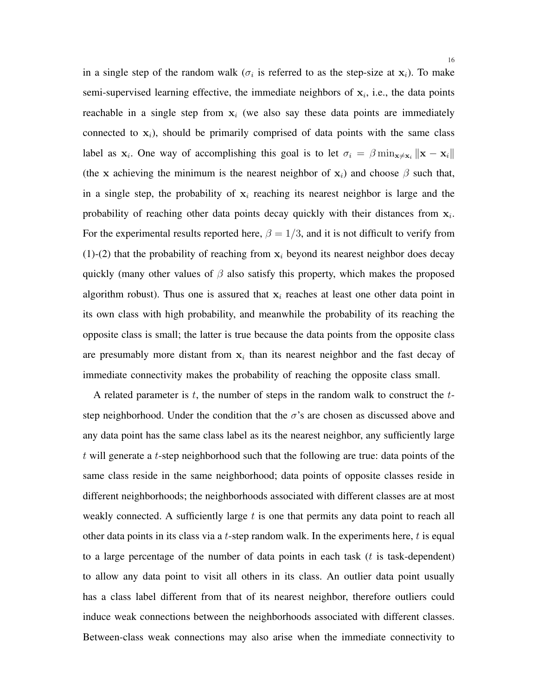in a single step of the random walk ( $\sigma_i$  is referred to as the step-size at  $x_i$ ). To make semi-supervised learning effective, the immediate neighbors of  $x_i$ , i.e., the data points reachable in a single step from  $x_i$  (we also say these data points are immediately connected to  $x_i$ ), should be primarily comprised of data points with the same class label as  $x_i$ . One way of accomplishing this goal is to let  $\sigma_i = \beta \min_{\mathbf{x} \neq \mathbf{x}_i} ||\mathbf{x} - \mathbf{x}_i||$ (the x achieving the minimum is the nearest neighbor of  $x_i$ ) and choose  $\beta$  such that, in a single step, the probability of  $x_i$  reaching its nearest neighbor is large and the probability of reaching other data points decay quickly with their distances from  $x_i$ . For the experimental results reported here,  $\beta = 1/3$ , and it is not difficult to verify from (1)-(2) that the probability of reaching from  $x_i$  beyond its nearest neighbor does decay quickly (many other values of  $\beta$  also satisfy this property, which makes the proposed algorithm robust). Thus one is assured that  $x_i$  reaches at least one other data point in its own class with high probability, and meanwhile the probability of its reaching the opposite class is small; the latter is true because the data points from the opposite class are presumably more distant from  $x_i$  than its nearest neighbor and the fast decay of immediate connectivity makes the probability of reaching the opposite class small.

A related parameter is  $t$ , the number of steps in the random walk to construct the  $t$ step neighborhood. Under the condition that the  $\sigma$ 's are chosen as discussed above and any data point has the same class label as its the nearest neighbor, any sufficiently large t will generate a t-step neighborhood such that the following are true: data points of the same class reside in the same neighborhood; data points of opposite classes reside in different neighborhoods; the neighborhoods associated with different classes are at most weakly connected. A sufficiently large  $t$  is one that permits any data point to reach all other data points in its class via a  $t$ -step random walk. In the experiments here,  $t$  is equal to a large percentage of the number of data points in each task  $(t$  is task-dependent) to allow any data point to visit all others in its class. An outlier data point usually has a class label different from that of its nearest neighbor, therefore outliers could induce weak connections between the neighborhoods associated with different classes. Between-class weak connections may also arise when the immediate connectivity to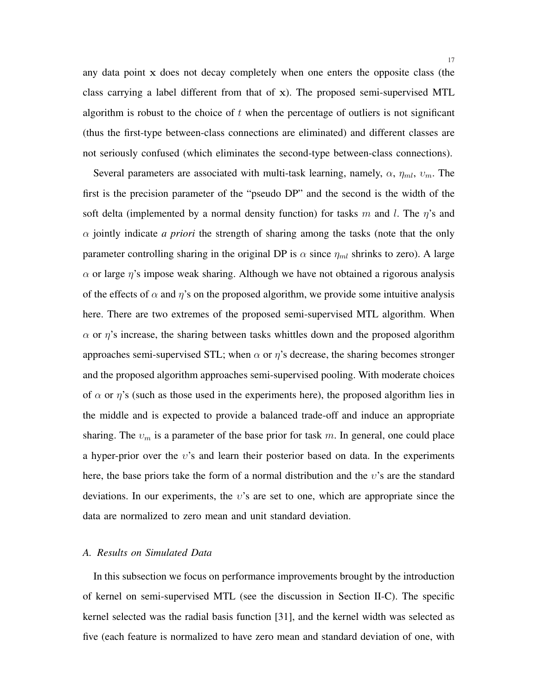any data point x does not decay completely when one enters the opposite class (the class carrying a label different from that of x). The proposed semi-supervised MTL algorithm is robust to the choice of  $t$  when the percentage of outliers is not significant (thus the first-type between-class connections are eliminated) and different classes are not seriously confused (which eliminates the second-type between-class connections).

Several parameters are associated with multi-task learning, namely,  $\alpha$ ,  $\eta_{ml}$ ,  $v_m$ . The first is the precision parameter of the "pseudo DP" and the second is the width of the soft delta (implemented by a normal density function) for tasks m and l. The  $\eta$ 's and α jointly indicate *a priori* the strength of sharing among the tasks (note that the only parameter controlling sharing in the original DP is  $\alpha$  since  $\eta_{ml}$  shrinks to zero). A large  $\alpha$  or large  $\eta$ 's impose weak sharing. Although we have not obtained a rigorous analysis of the effects of  $\alpha$  and  $\eta$ 's on the proposed algorithm, we provide some intuitive analysis here. There are two extremes of the proposed semi-supervised MTL algorithm. When  $\alpha$  or  $\eta$ 's increase, the sharing between tasks whittles down and the proposed algorithm approaches semi-supervised STL; when  $\alpha$  or  $\eta$ 's decrease, the sharing becomes stronger and the proposed algorithm approaches semi-supervised pooling. With moderate choices of  $\alpha$  or  $\eta$ 's (such as those used in the experiments here), the proposed algorithm lies in the middle and is expected to provide a balanced trade-off and induce an appropriate sharing. The  $v_m$  is a parameter of the base prior for task m. In general, one could place a hyper-prior over the  $v$ 's and learn their posterior based on data. In the experiments here, the base priors take the form of a normal distribution and the  $v$ 's are the standard deviations. In our experiments, the  $v$ 's are set to one, which are appropriate since the data are normalized to zero mean and unit standard deviation.

## *A. Results on Simulated Data*

In this subsection we focus on performance improvements brought by the introduction of kernel on semi-supervised MTL (see the discussion in Section II-C). The specific kernel selected was the radial basis function [31], and the kernel width was selected as five (each feature is normalized to have zero mean and standard deviation of one, with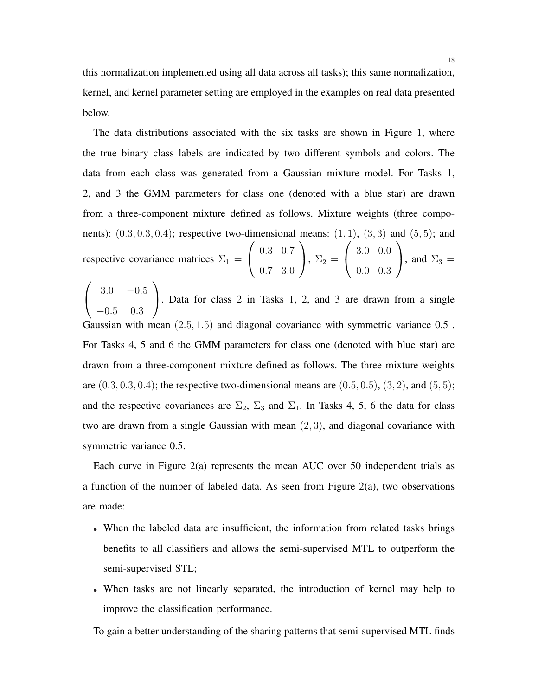this normalization implemented using all data across all tasks); this same normalization, kernel, and kernel parameter setting are employed in the examples on real data presented below.

The data distributions associated with the six tasks are shown in Figure 1, where the true binary class labels are indicated by two different symbols and colors. The data from each class was generated from a Gaussian mixture model. For Tasks 1, 2, and 3 the GMM parameters for class one (denoted with a blue star) are drawn from a three-component mixture defined as follows. Mixture weights (three components):  $(0.3, 0.3, 0.4)$ ; respective two-dimensional means:  $(1, 1)$ ,  $(3, 3)$  and  $(5, 5)$ ; and respective covariance matrices  $\Sigma_1 = \begin{pmatrix} 0.3 & 0.7 \end{pmatrix}$ 0.7 3.0  $\bigg\}, \Sigma_2 = \left( \begin{array}{cc} 3.0 & 0.0 \end{array} \right)$ 0.0 0.3 , and  $\Sigma_3 =$  $\mathcal{L}$ 

 $\begin{pmatrix} 3.0 & -0.5 \end{pmatrix}$ −0.5 0.3 . Data for class 2 in Tasks 1, 2, and 3 are drawn from a single Gaussian with mean  $(2.5, 1.5)$  and diagonal covariance with symmetric variance  $0.5$ . For Tasks 4, 5 and 6 the GMM parameters for class one (denoted with blue star) are drawn from a three-component mixture defined as follows. The three mixture weights are  $(0.3, 0.3, 0.4)$ ; the respective two-dimensional means are  $(0.5, 0.5)$ ,  $(3, 2)$ , and  $(5, 5)$ ; and the respective covariances are  $\Sigma_2$ ,  $\Sigma_3$  and  $\Sigma_1$ . In Tasks 4, 5, 6 the data for class two are drawn from a single Gaussian with mean  $(2, 3)$ , and diagonal covariance with symmetric variance 0.5.

Each curve in Figure 2(a) represents the mean AUC over 50 independent trials as a function of the number of labeled data. As seen from Figure 2(a), two observations are made:

- When the labeled data are insufficient, the information from related tasks brings benefits to all classifiers and allows the semi-supervised MTL to outperform the semi-supervised STL;
- When tasks are not linearly separated, the introduction of kernel may help to improve the classification performance.

To gain a better understanding of the sharing patterns that semi-supervised MTL finds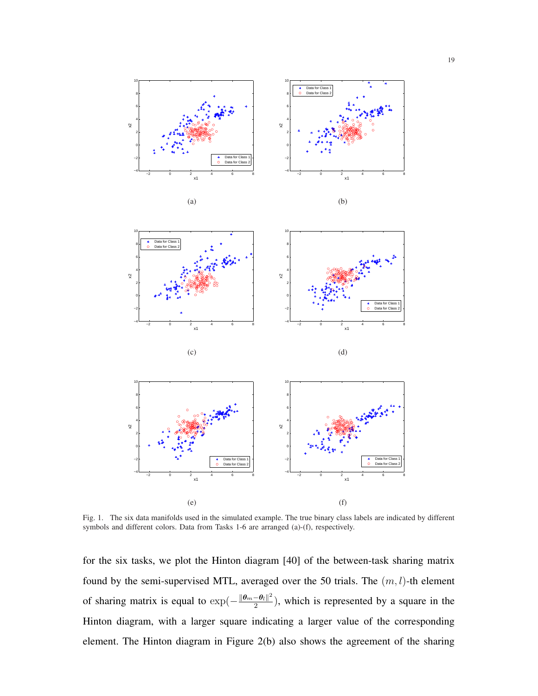



Fig. 1. The six data manifolds used in the simulated example. The true binary class labels are indicated by different symbols and different colors. Data from Tasks 1-6 are arranged (a)-(f), respectively.

for the six tasks, we plot the Hinton diagram [40] of the between-task sharing matrix found by the semi-supervised MTL, averaged over the 50 trials. The  $(m, l)$ -th element of sharing matrix is equal to  $\exp(-\frac{\|\theta_m-\theta_l\|^2}{2})$  $\frac{-\theta_l}{2}$ , which is represented by a square in the Hinton diagram, with a larger square indicating a larger value of the corresponding element. The Hinton diagram in Figure 2(b) also shows the agreement of the sharing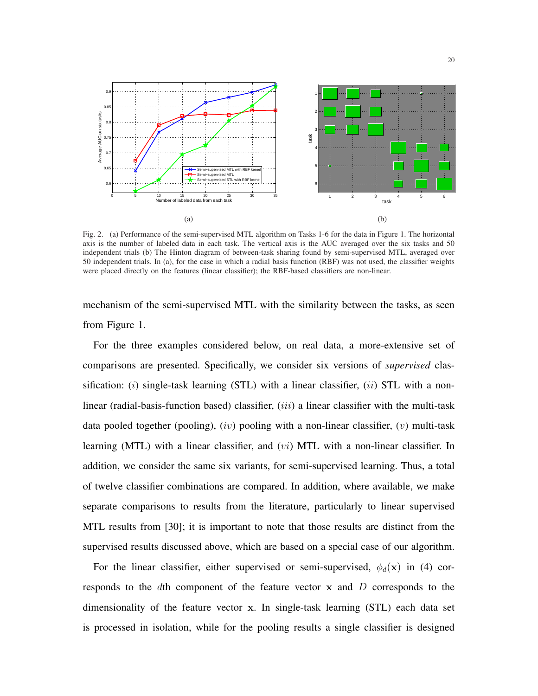

Fig. 2. (a) Performance of the semi-supervised MTL algorithm on Tasks 1-6 for the data in Figure 1. The horizontal axis is the number of labeled data in each task. The vertical axis is the AUC averaged over the six tasks and 50 independent trials (b) The Hinton diagram of between-task sharing found by semi-supervised MTL, averaged over 50 independent trials. In (a), for the case in which a radial basis function (RBF) was not used, the classifier weights were placed directly on the features (linear classifier); the RBF-based classifiers are non-linear.

mechanism of the semi-supervised MTL with the similarity between the tasks, as seen from Figure 1.

For the three examples considered below, on real data, a more-extensive set of comparisons are presented. Specifically, we consider six versions of *supervised* classification: (i) single-task learning (STL) with a linear classifier, (ii) STL with a nonlinear (radial-basis-function based) classifier,  $(iii)$  a linear classifier with the multi-task data pooled together (pooling),  $(iv)$  pooling with a non-linear classifier,  $(v)$  multi-task learning (MTL) with a linear classifier, and  $(vi)$  MTL with a non-linear classifier. In addition, we consider the same six variants, for semi-supervised learning. Thus, a total of twelve classifier combinations are compared. In addition, where available, we make separate comparisons to results from the literature, particularly to linear supervised MTL results from [30]; it is important to note that those results are distinct from the supervised results discussed above, which are based on a special case of our algorithm.

For the linear classifier, either supervised or semi-supervised,  $\phi_d(\mathbf{x})$  in (4) corresponds to the dth component of the feature vector  $x$  and  $D$  corresponds to the dimensionality of the feature vector x. In single-task learning (STL) each data set is processed in isolation, while for the pooling results a single classifier is designed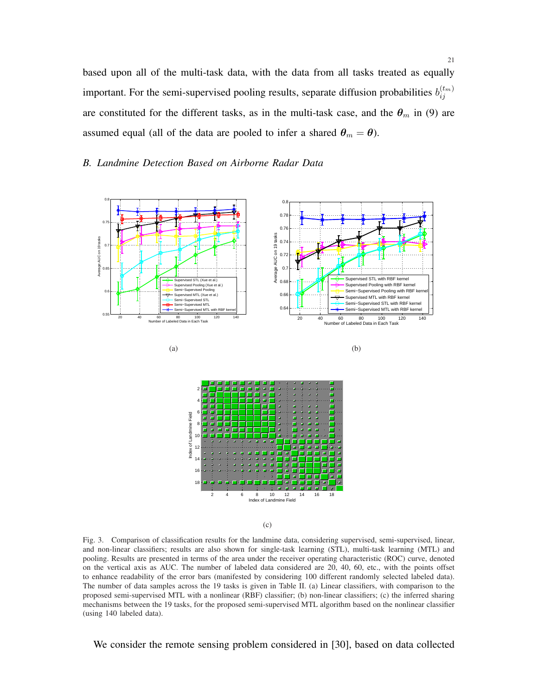based upon all of the multi-task data, with the data from all tasks treated as equally important. For the semi-supervised pooling results, separate diffusion probabilities  $b_{ij}^{(t_m)}$ ij are constituted for the different tasks, as in the multi-task case, and the  $\theta_m$  in (9) are assumed equal (all of the data are pooled to infer a shared  $\theta_m = \theta$ ).

21

# *B. Landmine Detection Based on Airborne Radar Data*



(c)

Fig. 3. Comparison of classification results for the landmine data, considering supervised, semi-supervised, linear, and non-linear classifiers; results are also shown for single-task learning (STL), multi-task learning (MTL) and pooling. Results are presented in terms of the area under the receiver operating characteristic (ROC) curve, denoted on the vertical axis as AUC. The number of labeled data considered are 20, 40, 60, etc., with the points offset to enhance readability of the error bars (manifested by considering 100 different randomly selected labeled data). The number of data samples across the 19 tasks is given in Table II. (a) Linear classifiers, with comparison to the proposed semi-supervised MTL with a nonlinear (RBF) classifier; (b) non-linear classifiers; (c) the inferred sharing mechanisms between the 19 tasks, for the proposed semi-supervised MTL algorithm based on the nonlinear classifier (using 140 labeled data).

We consider the remote sensing problem considered in [30], based on data collected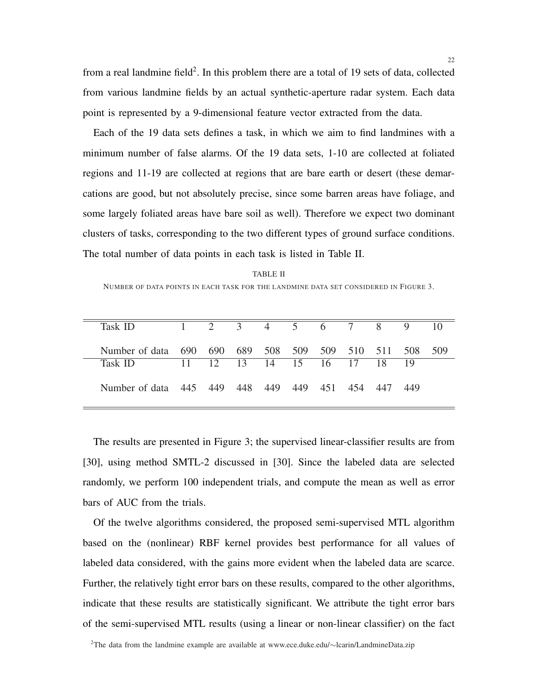from a real landmine field<sup>2</sup>. In this problem there are a total of 19 sets of data, collected from various landmine fields by an actual synthetic-aperture radar system. Each data point is represented by a 9-dimensional feature vector extracted from the data.

Each of the 19 data sets defines a task, in which we aim to find landmines with a minimum number of false alarms. Of the 19 data sets, 1-10 are collected at foliated regions and 11-19 are collected at regions that are bare earth or desert (these demarcations are good, but not absolutely precise, since some barren areas have foliage, and some largely foliated areas have bare soil as well). Therefore we expect two dominant clusters of tasks, corresponding to the two different types of ground surface conditions. The total number of data points in each task is listed in Table II.

TABLE II NUMBER OF DATA POINTS IN EACH TASK FOR THE LANDMINE DATA SET CONSIDERED IN FIGURE 3.

| Task ID                                        |  | 1 2 3 4 5 6 7 8         |  |                 | 9   | 10  |
|------------------------------------------------|--|-------------------------|--|-----------------|-----|-----|
| Number of data 690 690 689 508 509 509 510 511 |  |                         |  |                 | 508 | 509 |
| Task ID                                        |  | 11 12 13 14 15 16 17 18 |  |                 | -19 |     |
| Number of data 445 449 448 449                 |  |                         |  | 449 451 454 447 | 449 |     |

The results are presented in Figure 3; the supervised linear-classifier results are from [30], using method SMTL-2 discussed in [30]. Since the labeled data are selected randomly, we perform 100 independent trials, and compute the mean as well as error bars of AUC from the trials.

Of the twelve algorithms considered, the proposed semi-supervised MTL algorithm based on the (nonlinear) RBF kernel provides best performance for all values of labeled data considered, with the gains more evident when the labeled data are scarce. Further, the relatively tight error bars on these results, compared to the other algorithms, indicate that these results are statistically significant. We attribute the tight error bars of the semi-supervised MTL results (using a linear or non-linear classifier) on the fact

<sup>2</sup>The data from the landmine example are available at www.ece.duke.edu/∼lcarin/LandmineData.zip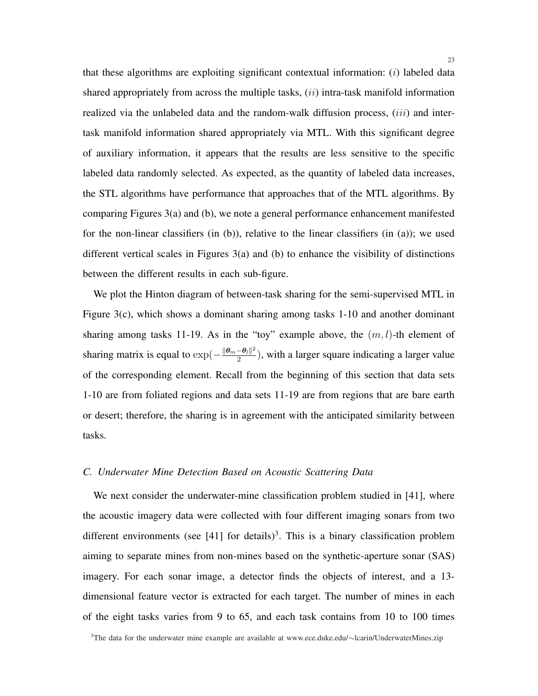that these algorithms are exploiting significant contextual information: (i) labeled data shared appropriately from across the multiple tasks,  $(ii)$  intra-task manifold information realized via the unlabeled data and the random-walk diffusion process,  $(iii)$  and intertask manifold information shared appropriately via MTL. With this significant degree of auxiliary information, it appears that the results are less sensitive to the specific labeled data randomly selected. As expected, as the quantity of labeled data increases, the STL algorithms have performance that approaches that of the MTL algorithms. By comparing Figures 3(a) and (b), we note a general performance enhancement manifested for the non-linear classifiers (in  $(b)$ ), relative to the linear classifiers (in  $(a)$ ); we used different vertical scales in Figures 3(a) and (b) to enhance the visibility of distinctions between the different results in each sub-figure.

We plot the Hinton diagram of between-task sharing for the semi-supervised MTL in Figure 3(c), which shows a dominant sharing among tasks 1-10 and another dominant sharing among tasks 11-19. As in the "toy" example above, the  $(m, l)$ -th element of sharing matrix is equal to  $\exp(-\frac{\|\theta_m-\theta_l\|^2}{2})$  $\frac{-\theta_l\|^2}{2}$ , with a larger square indicating a larger value of the corresponding element. Recall from the beginning of this section that data sets 1-10 are from foliated regions and data sets 11-19 are from regions that are bare earth or desert; therefore, the sharing is in agreement with the anticipated similarity between tasks.

## *C. Underwater Mine Detection Based on Acoustic Scattering Data*

We next consider the underwater-mine classification problem studied in [41], where the acoustic imagery data were collected with four different imaging sonars from two different environments (see  $[41]$  for details)<sup>3</sup>. This is a binary classification problem aiming to separate mines from non-mines based on the synthetic-aperture sonar (SAS) imagery. For each sonar image, a detector finds the objects of interest, and a 13 dimensional feature vector is extracted for each target. The number of mines in each of the eight tasks varies from 9 to 65, and each task contains from 10 to 100 times

<sup>3</sup>The data for the underwater mine example are available at www.ece.duke.edu/∼lcarin/UnderwaterMines.zip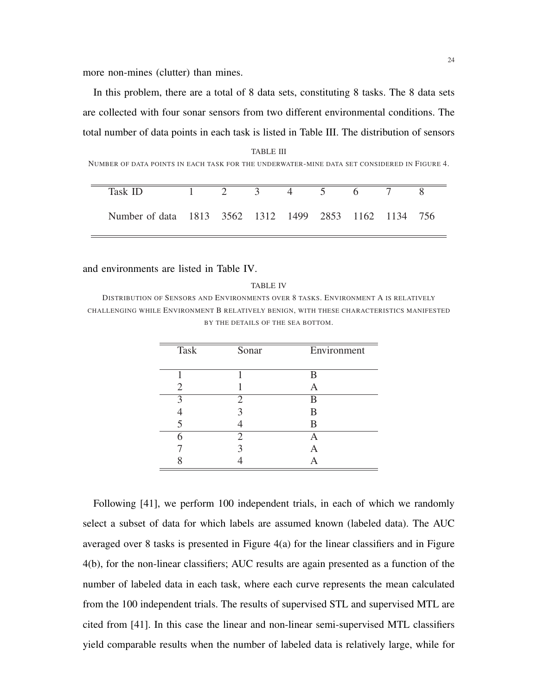more non-mines (clutter) than mines.

In this problem, there are a total of 8 data sets, constituting 8 tasks. The 8 data sets are collected with four sonar sensors from two different environmental conditions. The total number of data points in each task is listed in Table III. The distribution of sensors

## TABLE III

NUMBER OF DATA POINTS IN EACH TASK FOR THE UNDERWATER-MINE DATA SET CONSIDERED IN FIGURE 4.

| Task ID                                               | $\sim$ 1 $\sim$ 2 | $\sim$ 3 | $\frac{4}{2}$ 5 | $\overline{h}$ |  |
|-------------------------------------------------------|-------------------|----------|-----------------|----------------|--|
| Number of data 1813 3562 1312 1499 2853 1162 1134 756 |                   |          |                 |                |  |

and environments are listed in Table IV.

TABLE IV DISTRIBUTION OF SENSORS AND ENVIRONMENTS OVER 8 TASKS. ENVIRONMENT A IS RELATIVELY CHALLENGING WHILE ENVIRONMENT B RELATIVELY BENIGN, WITH THESE CHARACTERISTICS MANIFESTED BY THE DETAILS OF THE SEA BOTTOM.

| <b>Task</b>             | Sonar | Environment |
|-------------------------|-------|-------------|
|                         |       | B           |
| 2                       |       | А           |
| $\overline{\mathbf{c}}$ | 2     | B           |
|                         |       | B           |
|                         |       | В           |
|                         | 2     |             |
|                         |       |             |
|                         |       |             |

Following [41], we perform 100 independent trials, in each of which we randomly select a subset of data for which labels are assumed known (labeled data). The AUC averaged over 8 tasks is presented in Figure 4(a) for the linear classifiers and in Figure 4(b), for the non-linear classifiers; AUC results are again presented as a function of the number of labeled data in each task, where each curve represents the mean calculated from the 100 independent trials. The results of supervised STL and supervised MTL are cited from [41]. In this case the linear and non-linear semi-supervised MTL classifiers yield comparable results when the number of labeled data is relatively large, while for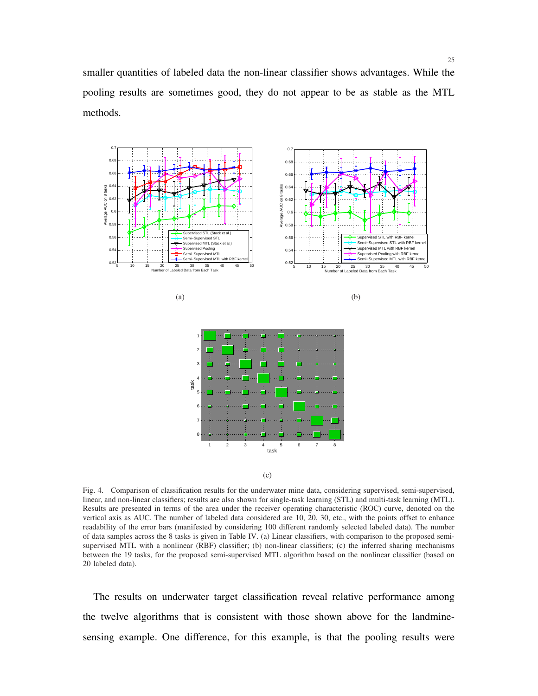smaller quantities of labeled data the non-linear classifier shows advantages. While the pooling results are sometimes good, they do not appear to be as stable as the MTL methods.



(c)

Fig. 4. Comparison of classification results for the underwater mine data, considering supervised, semi-supervised, linear, and non-linear classifiers; results are also shown for single-task learning (STL) and multi-task learning (MTL). Results are presented in terms of the area under the receiver operating characteristic (ROC) curve, denoted on the vertical axis as AUC. The number of labeled data considered are 10, 20, 30, etc., with the points offset to enhance readability of the error bars (manifested by considering 100 different randomly selected labeled data). The number of data samples across the 8 tasks is given in Table IV. (a) Linear classifiers, with comparison to the proposed semisupervised MTL with a nonlinear (RBF) classifier; (b) non-linear classifiers; (c) the inferred sharing mechanisms between the 19 tasks, for the proposed semi-supervised MTL algorithm based on the nonlinear classifier (based on 20 labeled data).

The results on underwater target classification reveal relative performance among the twelve algorithms that is consistent with those shown above for the landminesensing example. One difference, for this example, is that the pooling results were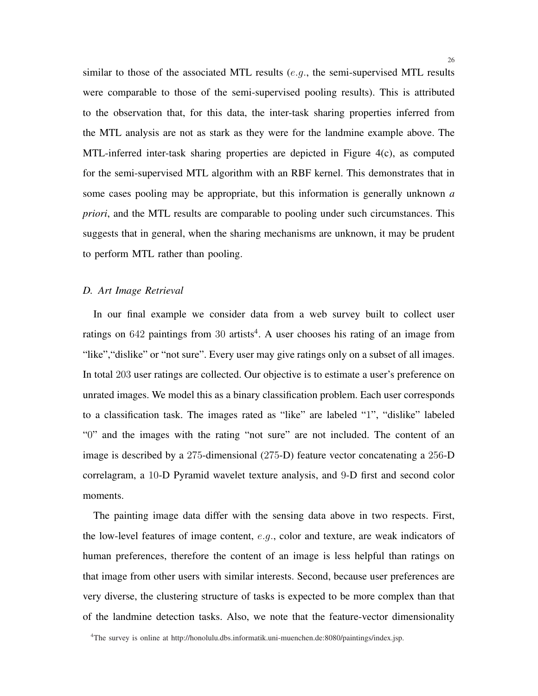similar to those of the associated MTL results  $(e.g., the semi-supervised MTL results)$ were comparable to those of the semi-supervised pooling results). This is attributed to the observation that, for this data, the inter-task sharing properties inferred from the MTL analysis are not as stark as they were for the landmine example above. The MTL-inferred inter-task sharing properties are depicted in Figure 4(c), as computed for the semi-supervised MTL algorithm with an RBF kernel. This demonstrates that in some cases pooling may be appropriate, but this information is generally unknown *a priori*, and the MTL results are comparable to pooling under such circumstances. This suggests that in general, when the sharing mechanisms are unknown, it may be prudent to perform MTL rather than pooling.

# *D. Art Image Retrieval*

In our final example we consider data from a web survey built to collect user ratings on 642 paintings from 30 artists<sup>4</sup>. A user chooses his rating of an image from "like", "dislike" or "not sure". Every user may give ratings only on a subset of all images. In total 203 user ratings are collected. Our objective is to estimate a user's preference on unrated images. We model this as a binary classification problem. Each user corresponds to a classification task. The images rated as "like" are labeled "1", "dislike" labeled "0" and the images with the rating "not sure" are not included. The content of an image is described by a 275-dimensional (275-D) feature vector concatenating a 256-D correlagram, a 10-D Pyramid wavelet texture analysis, and 9-D first and second color moments.

The painting image data differ with the sensing data above in two respects. First, the low-level features of image content, e.g., color and texture, are weak indicators of human preferences, therefore the content of an image is less helpful than ratings on that image from other users with similar interests. Second, because user preferences are very diverse, the clustering structure of tasks is expected to be more complex than that of the landmine detection tasks. Also, we note that the feature-vector dimensionality

<sup>&</sup>lt;sup>4</sup>The survey is online at http://honolulu.dbs.informatik.uni-muenchen.de:8080/paintings/index.jsp.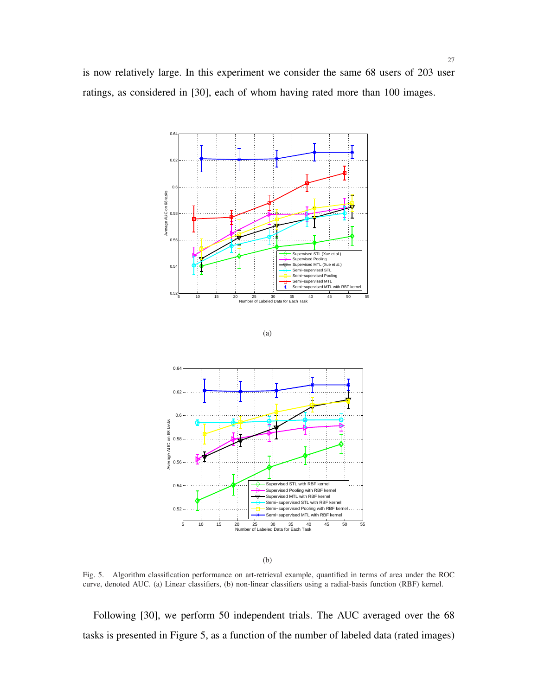is now relatively large. In this experiment we consider the same 68 users of 203 user ratings, as considered in [30], each of whom having rated more than 100 images.



(b)

Fig. 5. Algorithm classification performance on art-retrieval example, quantified in terms of area under the ROC curve, denoted AUC. (a) Linear classifiers, (b) non-linear classifiers using a radial-basis function (RBF) kernel.

Following [30], we perform 50 independent trials. The AUC averaged over the 68 tasks is presented in Figure 5, as a function of the number of labeled data (rated images)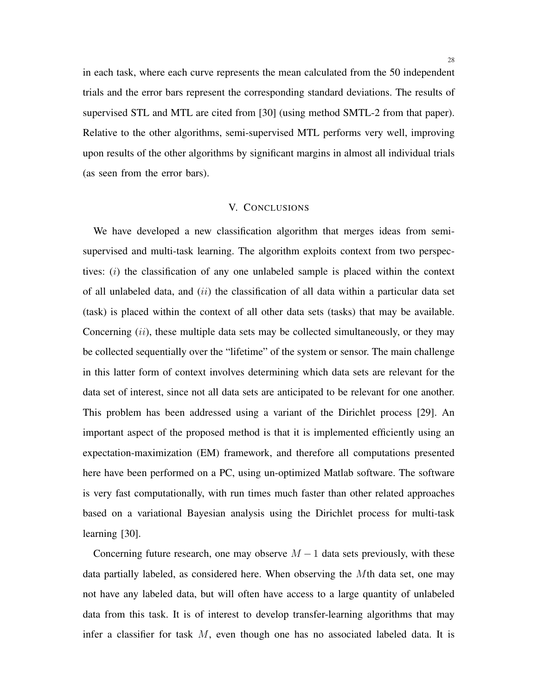in each task, where each curve represents the mean calculated from the 50 independent trials and the error bars represent the corresponding standard deviations. The results of supervised STL and MTL are cited from [30] (using method SMTL-2 from that paper). Relative to the other algorithms, semi-supervised MTL performs very well, improving upon results of the other algorithms by significant margins in almost all individual trials (as seen from the error bars).

## V. CONCLUSIONS

We have developed a new classification algorithm that merges ideas from semisupervised and multi-task learning. The algorithm exploits context from two perspectives:  $(i)$  the classification of any one unlabeled sample is placed within the context of all unlabeled data, and  $(ii)$  the classification of all data within a particular data set (task) is placed within the context of all other data sets (tasks) that may be available. Concerning  $(ii)$ , these multiple data sets may be collected simultaneously, or they may be collected sequentially over the "lifetime" of the system or sensor. The main challenge in this latter form of context involves determining which data sets are relevant for the data set of interest, since not all data sets are anticipated to be relevant for one another. This problem has been addressed using a variant of the Dirichlet process [29]. An important aspect of the proposed method is that it is implemented efficiently using an expectation-maximization (EM) framework, and therefore all computations presented here have been performed on a PC, using un-optimized Matlab software. The software is very fast computationally, with run times much faster than other related approaches based on a variational Bayesian analysis using the Dirichlet process for multi-task learning [30].

Concerning future research, one may observe  $M - 1$  data sets previously, with these data partially labeled, as considered here. When observing the Mth data set, one may not have any labeled data, but will often have access to a large quantity of unlabeled data from this task. It is of interest to develop transfer-learning algorithms that may infer a classifier for task  $M$ , even though one has no associated labeled data. It is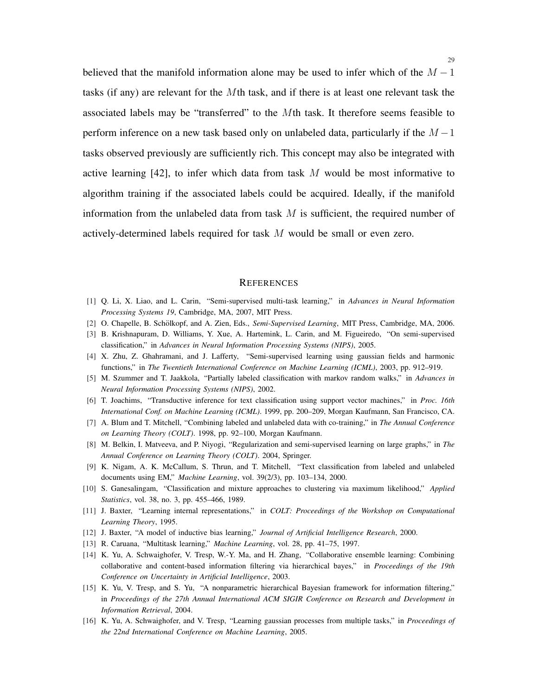believed that the manifold information alone may be used to infer which of the  $M - 1$ tasks (if any) are relevant for the Mth task, and if there is at least one relevant task the associated labels may be "transferred" to the Mth task. It therefore seems feasible to perform inference on a new task based only on unlabeled data, particularly if the  $M-1$ tasks observed previously are sufficiently rich. This concept may also be integrated with active learning  $[42]$ , to infer which data from task M would be most informative to algorithm training if the associated labels could be acquired. Ideally, if the manifold information from the unlabeled data from task  $M$  is sufficient, the required number of actively-determined labels required for task M would be small or even zero.

#### **REFERENCES**

- [1] Q. Li, X. Liao, and L. Carin, "Semi-supervised multi-task learning," in *Advances in Neural Information Processing Systems 19*, Cambridge, MA, 2007, MIT Press.
- [2] O. Chapelle, B. Schölkopf, and A. Zien, Eds., *Semi-Supervised Learning*, MIT Press, Cambridge, MA, 2006.
- [3] B. Krishnapuram, D. Williams, Y. Xue, A. Hartemink, L. Carin, and M. Figueiredo, "On semi-supervised classification," in *Advances in Neural Information Processing Systems (NIPS)*, 2005.
- [4] X. Zhu, Z. Ghahramani, and J. Lafferty, "Semi-supervised learning using gaussian fields and harmonic functions," in *The Twentieth International Conference on Machine Learning (ICML)*, 2003, pp. 912–919.
- [5] M. Szummer and T. Jaakkola, "Partially labeled classification with markov random walks," in *Advances in Neural Information Processing Systems (NIPS)*, 2002.
- [6] T. Joachims, "Transductive inference for text classification using support vector machines," in *Proc. 16th International Conf. on Machine Learning (ICML)*. 1999, pp. 200–209, Morgan Kaufmann, San Francisco, CA.
- [7] A. Blum and T. Mitchell, "Combining labeled and unlabeled data with co-training," in *The Annual Conference on Learning Theory (COLT)*. 1998, pp. 92–100, Morgan Kaufmann.
- [8] M. Belkin, I. Matveeva, and P. Niyogi, "Regularization and semi-supervised learning on large graphs," in *The Annual Conference on Learning Theory (COLT)*. 2004, Springer.
- [9] K. Nigam, A. K. McCallum, S. Thrun, and T. Mitchell, "Text classification from labeled and unlabeled documents using EM," *Machine Learning*, vol. 39(2/3), pp. 103–134, 2000.
- [10] S. Ganesalingam, "Classification and mixture approaches to clustering via maximum likelihood," *Applied Statistics*, vol. 38, no. 3, pp. 455–466, 1989.
- [11] J. Baxter, "Learning internal representations," in *COLT: Proceedings of the Workshop on Computational Learning Theory*, 1995.
- [12] J. Baxter, "A model of inductive bias learning," *Journal of Artificial Intelligence Research*, 2000.
- [13] R. Caruana, "Multitask learning," *Machine Learning*, vol. 28, pp. 41–75, 1997.
- [14] K. Yu, A. Schwaighofer, V. Tresp, W.-Y. Ma, and H. Zhang, "Collaborative ensemble learning: Combining collaborative and content-based information filtering via hierarchical bayes," in *Proceedings of the 19th Conference on Uncertainty in Artificial Intelligence*, 2003.
- [15] K. Yu, V. Tresp, and S. Yu, "A nonparametric hierarchical Bayesian framework for information filtering," in *Proceedings of the 27th Annual International ACM SIGIR Conference on Research and Development in Information Retrieval*, 2004.
- [16] K. Yu, A. Schwaighofer, and V. Tresp, "Learning gaussian processes from multiple tasks," in *Proceedings of the 22nd International Conference on Machine Learning*, 2005.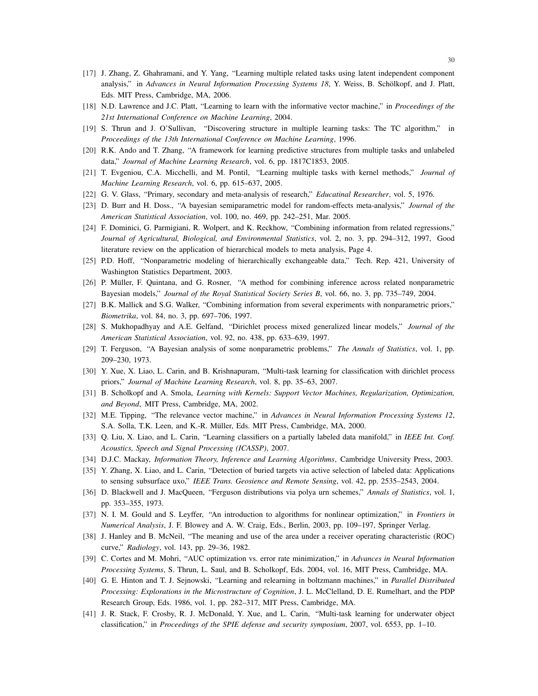- [17] J. Zhang, Z. Ghahramani, and Y. Yang, "Learning multiple related tasks using latent independent component analysis," in *Advances in Neural Information Processing Systems 18*, Y. Weiss, B. Schölkopf, and J. Platt, Eds. MIT Press, Cambridge, MA, 2006.
- [18] N.D. Lawrence and J.C. Platt, "Learning to learn with the informative vector machine," in *Proceedings of the 21st International Conference on Machine Learning*, 2004.
- [19] S. Thrun and J. O'Sullivan, "Discovering structure in multiple learning tasks: The TC algorithm," in *Proceedings of the 13th International Conference on Machine Learning*, 1996.
- [20] R.K. Ando and T. Zhang, "A framework for learning predictive structures from multiple tasks and unlabeled data," *Journal of Machine Learning Research*, vol. 6, pp. 1817C1853, 2005.
- [21] T. Evgeniou, C.A. Micchelli, and M. Pontil, "Learning multiple tasks with kernel methods," *Journal of Machine Learning Research*, vol. 6, pp. 615–637, 2005.
- [22] G. V. Glass, "Primary, secondary and meta-analysis of research," *Educatinal Researcher*, vol. 5, 1976.
- [23] D. Burr and H. Doss., "A bayesian semiparametric model for random-effects meta-analysis," *Journal of the American Statistical Association*, vol. 100, no. 469, pp. 242–251, Mar. 2005.
- [24] F. Dominici, G. Parmigiani, R. Wolpert, and K. Reckhow, "Combining information from related regressions," *Journal of Agricultural, Biological, and Environmental Statistics*, vol. 2, no. 3, pp. 294–312, 1997, Good literature review on the application of hierarchical models to meta analysis, Page 4.
- [25] P.D. Hoff, "Nonparametric modeling of hierarchically exchangeable data," Tech. Rep. 421, University of Washington Statistics Department, 2003.
- [26] P. Müller, F. Quintana, and G. Rosner, "A method for combining inference across related nonparametric Bayesian models," *Journal of the Royal Statistical Society Series B*, vol. 66, no. 3, pp. 735–749, 2004.
- [27] B.K. Mallick and S.G. Walker, "Combining information from several experiments with nonparametric priors," *Biometrika*, vol. 84, no. 3, pp. 697–706, 1997.
- [28] S. Mukhopadhyay and A.E. Gelfand, "Dirichlet process mixed generalized linear models," *Journal of the American Statistical Association*, vol. 92, no. 438, pp. 633–639, 1997.
- [29] T. Ferguson, "A Bayesian analysis of some nonparametric problems," *The Annals of Statistics*, vol. 1, pp. 209–230, 1973.
- [30] Y. Xue, X. Liao, L. Carin, and B. Krishnapuram, "Multi-task learning for classification with dirichlet process priors," *Journal of Machine Learning Research*, vol. 8, pp. 35–63, 2007.
- [31] B. Scholkopf and A. Smola, *Learning with Kernels: Support Vector Machines, Regularization, Optimization, and Beyond*, MIT Press, Cambridge, MA, 2002.
- [32] M.E. Tipping, "The relevance vector machine," in *Advances in Neural Information Processing Systems 12*, S.A. Solla, T.K. Leen, and K.-R. Müller, Eds. MIT Press, Cambridge, MA, 2000.
- [33] Q. Liu, X. Liao, and L. Carin, "Learning classifiers on a partially labeled data manifold," in *IEEE Int. Conf. Acoustics, Speech and Signal Processing (ICASSP)*, 2007.
- [34] D.J.C. Mackay, *Information Theory, Inference and Learning Algorithms*, Cambridge University Press, 2003.
- [35] Y. Zhang, X. Liao, and L. Carin, "Detection of buried targets via active selection of labeled data: Applications to sensing subsurface uxo," *IEEE Trans. Geosience and Remote Sensing*, vol. 42, pp. 2535–2543, 2004.
- [36] D. Blackwell and J. MacQueen, "Ferguson distributions via polya urn schemes," *Annals of Statistics*, vol. 1, pp. 353–355, 1973.
- [37] N. I. M. Gould and S. Leyffer, "An introduction to algorithms for nonlinear optimization," in *Frontiers in Numerical Analysis*, J. F. Blowey and A. W. Craig, Eds., Berlin, 2003, pp. 109–197, Springer Verlag.
- [38] J. Hanley and B. McNeil, "The meaning and use of the area under a receiver operating characteristic (ROC) curve," *Radiology*, vol. 143, pp. 29–36, 1982.
- [39] C. Cortes and M. Mohri, "AUC optimization vs. error rate minimization," in *Advances in Neural Information Processing Systems*, S. Thrun, L. Saul, and B. Scholkopf, Eds. 2004, vol. 16, MIT Press, Cambridge, MA.
- [40] G. E. Hinton and T. J. Sejnowski, "Learning and relearning in boltzmann machines," in *Parallel Distributed Processing: Explorations in the Microstructure of Cognition*, J. L. McClelland, D. E. Rumelhart, and the PDP Research Group, Eds. 1986, vol. 1, pp. 282–317, MIT Press, Cambridge, MA.
- [41] J. R. Stack, F. Crosby, R. J. McDonald, Y. Xue, and L. Carin, "Multi-task learning for underwater object classification," in *Proceedings of the SPIE defense and security symposium*, 2007, vol. 6553, pp. 1–10.